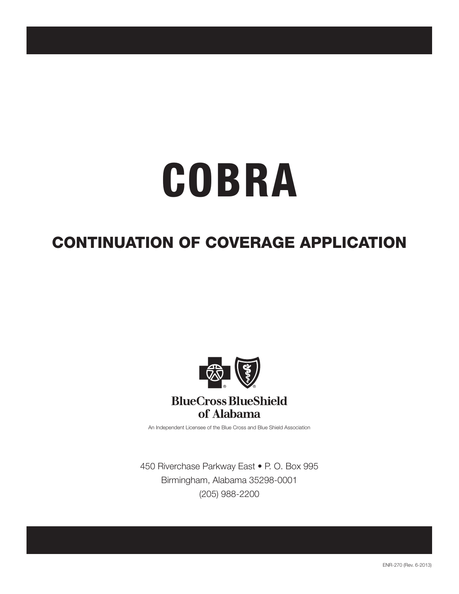# **COBRA**

# CONTINUATION OF COVERAGE APPLICATION



An Independent Licensee of the Blue Cross and Blue Shield Association

450 Riverchase Parkway East • P. O. Box 995 Birmingham, Alabama 35298-0001 (205) 988-2200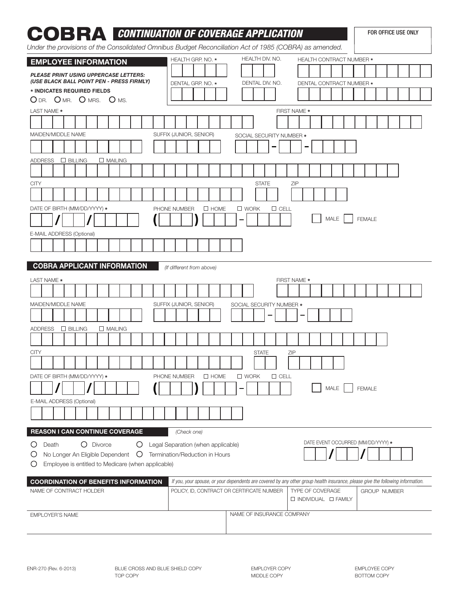| COERAGE APPLICATION<br>Under the provisions of the Consolidated Omnibus Budget Reconciliation Act of 1985 (COBRA) as amended. |                                    |                                            |                                                                                                                                 | FOR OFFICE USE ONLY |
|-------------------------------------------------------------------------------------------------------------------------------|------------------------------------|--------------------------------------------|---------------------------------------------------------------------------------------------------------------------------------|---------------------|
| <b>EMPLOYEE INFORMATION</b>                                                                                                   | HEALTH GRP. NO. *                  | HEALTH DIV. NO.                            | <b>HEALTH CONTRACT NUMBER *</b>                                                                                                 |                     |
| <b>PLEASE PRINT USING UPPERCASE LETTERS:</b>                                                                                  |                                    |                                            |                                                                                                                                 |                     |
| (USE BLACK BALL POINT PEN - PRESS FIRMLY)                                                                                     | DENTAL GRP. NO. *                  | DENTAL DIV. NO.                            | DENTAL CONTRACT NUMBER *                                                                                                        |                     |
| * INDICATES REQUIRED FIELDS                                                                                                   |                                    |                                            |                                                                                                                                 |                     |
| ODR. OMR. OMRS. OMS.                                                                                                          |                                    |                                            |                                                                                                                                 |                     |
| LAST NAME *                                                                                                                   |                                    |                                            | FIRST NAME *                                                                                                                    |                     |
|                                                                                                                               |                                    |                                            |                                                                                                                                 |                     |
| MAIDEN/MIDDLE NAME                                                                                                            | SUFFIX (JUNIOR, SENIOR)            | SOCIAL SECURITY NUMBER *                   |                                                                                                                                 |                     |
|                                                                                                                               |                                    |                                            |                                                                                                                                 |                     |
| <b>ADDRESS</b><br>$\Box$ BILLING<br>$\Box$ MAILING                                                                            |                                    |                                            |                                                                                                                                 |                     |
|                                                                                                                               |                                    |                                            |                                                                                                                                 |                     |
| <b>CITY</b>                                                                                                                   |                                    | <b>STATE</b>                               | ZIP                                                                                                                             |                     |
|                                                                                                                               |                                    |                                            |                                                                                                                                 |                     |
|                                                                                                                               |                                    |                                            |                                                                                                                                 |                     |
| DATE OF BIRTH (MM/DD/YYYY) *                                                                                                  | PHONE NUMBER<br>$\Box$ HOME        | $\Box$ CELL<br>$\square$ WORK              | MALE                                                                                                                            | <b>FEMALE</b>       |
|                                                                                                                               |                                    | -                                          |                                                                                                                                 |                     |
| E-MAIL ADDRESS (Optional)                                                                                                     |                                    |                                            |                                                                                                                                 |                     |
|                                                                                                                               |                                    |                                            |                                                                                                                                 |                     |
| <b>COBRA APPLICANT INFORMATION</b>                                                                                            | (If different from above)          |                                            |                                                                                                                                 |                     |
| LAST NAME *                                                                                                                   |                                    |                                            | FIRST NAME *                                                                                                                    |                     |
|                                                                                                                               |                                    |                                            |                                                                                                                                 |                     |
| MAIDEN/MIDDLE NAME                                                                                                            | SUFFIX (JUNIOR, SENIOR)            | SOCIAL SECURITY NUMBER *                   |                                                                                                                                 |                     |
|                                                                                                                               |                                    |                                            |                                                                                                                                 |                     |
| <b>ADDRESS</b><br>$\Box$ BILLING<br>$\Box$ MAILING                                                                            |                                    |                                            |                                                                                                                                 |                     |
|                                                                                                                               |                                    |                                            |                                                                                                                                 |                     |
| <b>CITY</b>                                                                                                                   |                                    | <b>STATE</b>                               | ZIP                                                                                                                             |                     |
|                                                                                                                               |                                    |                                            |                                                                                                                                 |                     |
|                                                                                                                               |                                    |                                            |                                                                                                                                 |                     |
| DATE OF BIRTH (MM/DD/YYYY) *                                                                                                  | $\Box$ HOME<br>PHONE NUMBER        | $\square$ WORK<br>$\Box$ CELL              |                                                                                                                                 |                     |
|                                                                                                                               |                                    |                                            | MALE                                                                                                                            | <b>FEMALE</b>       |
| E-MAIL ADDRESS (Optional)                                                                                                     |                                    |                                            |                                                                                                                                 |                     |
|                                                                                                                               |                                    |                                            |                                                                                                                                 |                     |
| <b>REASON I CAN CONTINUE COVERAGE</b>                                                                                         | (Check one)                        |                                            |                                                                                                                                 |                     |
| Death<br>O Divorce<br>$\circ$<br>Ő                                                                                            | Legal Separation (when applicable) |                                            | DATE EVENT OCCURRED (MM/DD/YYYY) *                                                                                              |                     |
| No Longer An Eligible Dependent<br>$\cup$<br>Ö                                                                                | Termination/Reduction in Hours     |                                            |                                                                                                                                 |                     |
| Employee is entitled to Medicare (when applicable)<br>O                                                                       |                                    |                                            |                                                                                                                                 |                     |
| <b>COORDINATION OF BENEFITS INFORMATION</b>                                                                                   |                                    |                                            | If you, your spouse, or your dependents are covered by any other group health insurance, please give the following information. |                     |
| NAME OF CONTRACT HOLDER                                                                                                       |                                    | POLICY, ID, CONTRACT OR CERTIFICATE NUMBER | TYPE OF COVERAGE                                                                                                                | <b>GROUP NUMBER</b> |
|                                                                                                                               |                                    |                                            | □ INDIVIDUAL □ FAMILY                                                                                                           |                     |
|                                                                                                                               |                                    | NAME OF INSURANCE COMPANY                  |                                                                                                                                 |                     |
| EMPLOYER'S NAME                                                                                                               |                                    |                                            |                                                                                                                                 |                     |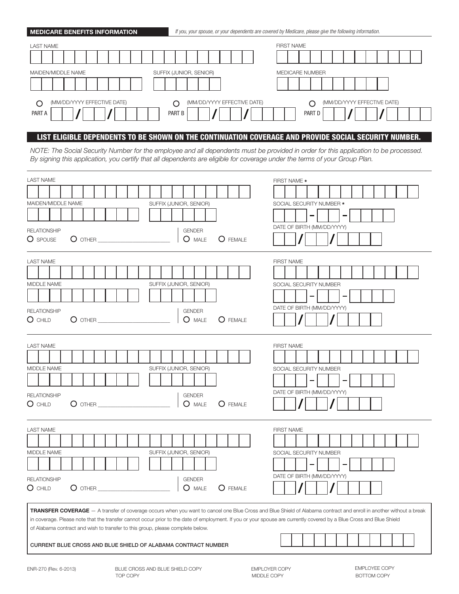| <b>MEDICARE BENEFITS INFORMATION</b>  | If you, your spouse, or your dependents are covered by Medicare, please give the following information. |
|---------------------------------------|---------------------------------------------------------------------------------------------------------|
| <b>LAST NAME</b>                      | <b>FIRST NAME</b>                                                                                       |
| MAIDEN/MIDDLE NAME                    | SUFFIX (JUNIOR, SENIOR)<br><b>MEDICARE NUMBER</b>                                                       |
| (MM/DD/YYYY EFFECTIVE DATE)<br>PART A | (MM/DD/YYYY EFFECTIVE DATE)<br>(MM/DD/YYYY EFFECTIVE DATE)<br>O<br>PART B<br>PART D                     |

# LIST ELIGIBLE DEPENDENTS TO BE SHOWN ON THE CONTINUATION COVERAGE AND PROVIDE SOCIAL SECURITY NUMBER.

*NOTE: The Social Security Number for the employee and all dependents must be provided in order for this application to be processed. By signing this application, you certify that all dependents are eligible for coverage under the terms of your Group Plan.*

| <b>LAST NAME</b><br>MAIDEN/MIDDLE NAME<br>SUFFIX (JUNIOR, SENIOR)<br><b>RELATIONSHIP</b><br><b>GENDER</b><br>O MALE<br>O SPOUSE<br>O FEMALE                                                                                                                                                                                                                                                                                                                                                   | FIRST NAME *<br>SOCIAL SECURITY NUMBER *<br>DATE OF BIRTH (MM/DD/YYYY)    |  |  |
|-----------------------------------------------------------------------------------------------------------------------------------------------------------------------------------------------------------------------------------------------------------------------------------------------------------------------------------------------------------------------------------------------------------------------------------------------------------------------------------------------|---------------------------------------------------------------------------|--|--|
| <b>LAST NAME</b><br>SUFFIX (JUNIOR, SENIOR)<br>MIDDLE NAME<br><b>RELATIONSHIP</b><br><b>GENDER</b><br>$O$ CHILD<br>$O$ other<br>O MALE<br>$O$ FEMALE                                                                                                                                                                                                                                                                                                                                          | <b>FIRST NAME</b><br>SOCIAL SECURITY NUMBER<br>DATE OF BIRTH (MM/DD/YYYY) |  |  |
| <b>LAST NAME</b><br>MIDDLE NAME<br>SUFFIX (JUNIOR, SENIOR)<br><b>RELATIONSHIP</b><br><b>GENDER</b><br>O MALE<br>$O$ CHILD<br>$O$ other $\_\_$<br>$\bigcup$ FEMALE                                                                                                                                                                                                                                                                                                                             | <b>FIRST NAME</b><br>SOCIAL SECURITY NUMBER<br>DATE OF BIRTH (MM/DD/YYYY) |  |  |
| <b>LAST NAME</b><br>MIDDLE NAME<br>SUFFIX (JUNIOR, SENIOR)<br><b>GENDER</b><br><b>RELATIONSHIP</b><br>$O$ CHILD<br>$O$ other<br>O MALE<br>$O$ FEMALE                                                                                                                                                                                                                                                                                                                                          | <b>FIRST NAME</b><br>SOCIAL SECURITY NUMBER<br>DATE OF BIRTH (MM/DD/YYYY) |  |  |
| TRANSFER COVERAGE - A transfer of coverage occurs when you want to cancel one Blue Cross and Blue Shield of Alabama contract and enroll in another without a break<br>in coverage. Please note that the transfer cannot occur prior to the date of employment. If you or your spouse are currently covered by a Blue Cross and Blue Shield<br>of Alabama contract and wish to transfer to this group, please complete below.<br>CURRENT BLUE CROSS AND BLUE SHIELD OF ALABAMA CONTRACT NUMBER |                                                                           |  |  |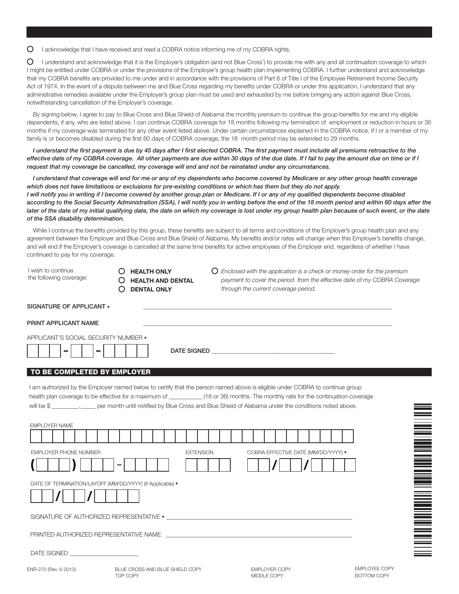O I acknowledge that I have received and read a COBRA notice informing me of my COBRA rights.

 $\circ$ I understand and acknowledge that it is the Employer's obligation (and not Blue Cross') to provide me with any and all continuation coverage to which I might be entitled under COBRA or under the provisions of the Employer's group health plan implementing COBRA. I further understand and acknowledge that my COBRA benefits are provided to me under and in accordance with the provisions of Part 6 of Title I of the Employee Retirement Income Security Act of 1974. In the event of a dispute between me and Blue Cross regarding my benefits under COBRA or under this application, I understand that any administrative remedies available under the Employer's group plan must be used and exhausted by me before bringing any action against Blue Cross, notwithstanding cancellation of the Employer's coverage.

By signing below, I agree to pay to Blue Cross and Blue Shield of Alabama the monthly premium to continue the group benefits for me and my eligible dependents, if any, who are listed above. I can continue COBRA coverage for 18 months following my termination of employment or reduction in hours or 36 months if my coverage was terminated for any other event listed above. Under certain circumstances explained in the COBRA notice, if I or a member of my family is or becomes disabled during the first 60 days of COBRA coverage, the 18 month period may be extended to 29 months.

*I understand the first payment is due by 45 days after I first elected COBRA. The first payment must include all premiums retroactive to the effective date of my COBRA coverage. All other payments are due within 30 days of the due date. If I fail to pay the amount due on time or if I request that my coverage be cancelled, my coverage will end and not be reinstated under any circumstances.*

*I understand that coverage will end for me or any of my dependents who become covered by Medicare or any other group health coverage*  which does not have limitations or exclusions for pre-existing conditions or which has them but they do not apply. *I will notify you in writing if I become covered by another group plan or Medicare. If I or any of my qualified dependents become disabled* according to the Social Security Administration (SSA), I will notify you in writing before the end of the 18 month period and within 60 days after the later of the date of my initial qualifying date, the date on which my coverage is lost under my group health plan because of such event, or the date *of the SSA disability determination.*

While I continue the benefits provided by this group, these benefits are subject to all terms and conditions of the Employer's group health plan and any agreement between the Employer and Blue Cross and Blue Shield of Alabama. My benefits and/or rates will change when this Employer's benefits change, and will end if the Employer's coverage is cancelled at the same time benefits for active employees of the Employer end, regardless of whether I have continued to pay for my coverage.

DATE SIGNED \_\_\_\_\_\_\_\_\_\_\_\_\_\_\_\_\_\_\_\_\_\_\_\_\_\_\_\_\_\_\_\_\_\_\_\_\_\_\_\_\_

I wish to continue the following coverage:

- $O$  HEALTH ONLY  $O$  HEALTH AND DENTAL
- DENTAL ONLY

*Enclosed with the application is a check or money order for the premium payment to cover the period from the effective date of my COBRA Coverage through the current coverage period.*

| SIGNATURE OF APPLICANT |  |
|------------------------|--|
|                        |  |
|                        |  |

### PRINT APPLICANT NAME

APPLICANT'S SOCIAL SECURITY NUMBER \*

# TO BE COMPLETED BY EMPLOYER

I am authorized by the Employer named below to certify that the person named above is eligible under COBRA to continue group health plan coverage to be effective for a maximum of \_\_\_\_\_\_\_\_\_\_\_ (18 or 36) months. The monthly rate for the continuation coverage will be \$ equals to the month until notified by Blue Cross and Blue Shield of Alabama under the conditions noted above. EMPLOYER NAME

| EMPLOYER PHONE NUMBER                                     | <b>EXTENSION</b> | COBRA EFFECTIVE DATE (MM/DD/YYYY) * |
|-----------------------------------------------------------|------------------|-------------------------------------|
|                                                           |                  |                                     |
| DATE OF TERMINATION/LAYOFF (MM/DD/YYYY) (If Applicable) * |                  |                                     |



| SIGNATURE OF AUTHORIZED REPRESENTATIVE * |  |
|------------------------------------------|--|
|------------------------------------------|--|

PRINTED AUTHORIZED REPRESENTATIVE NAME

DATE SIGNED